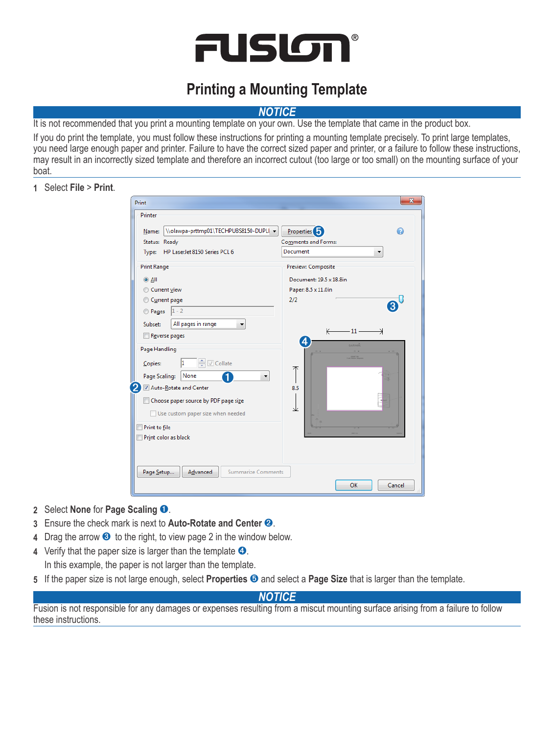

## **Printing a Mounting Template**

## *Notice*

It is not recommended that you print a mounting template on your own. Use the template that came in the product box.

If you do print the template, you must follow these instructions for printing a mounting template precisely. To print large templates, you need large enough paper and printer. Failure to have the correct sized paper and printer, or a failure to follow these instructions, may result in an incorrectly sized template and therefore an incorrect cutout (too large or too small) on the mounting surface of your boat.

## **1** Select **File** > **Print**.

| Print                                               | $\overline{\mathbf{x}}$ |
|-----------------------------------------------------|-------------------------|
| Printer                                             |                         |
| Nolawpa-prttmp01\TECHPUBS8150-DUPLI -<br>Name:      | <b>Properties</b><br>⋒  |
| Status: Ready                                       | Comments and Forms:     |
| HP LaserJet 8150 Series PCL 6<br>Type:              | Document                |
| <b>Print Range</b>                                  | Preview: Composite      |
| $\odot$ All                                         | Document: 19.5 x 18.8in |
| Current view                                        | Paper: 8.5 x 11.0in     |
| Current page                                        | 2/2                     |
| $1 - 2$<br><b>Pages</b>                             |                         |
| All pages in range<br>Subset:<br>▼                  |                         |
| Reverse pages                                       | $-11 -$<br>K<br>⊣       |
| Page Handling                                       | 4<br>GARMIÑ             |
| → <i>Collate</i><br>1<br>Copies:                    |                         |
| None<br>Page Scaling:                               | ᅎ<br>٠                  |
| 2<br>Auto-Rotate and Center                         | 8.5                     |
| Choose paper source by PDF page size                |                         |
| Use custom paper size when needed                   | علا                     |
| Print to file                                       |                         |
| Print color as black                                |                         |
|                                                     |                         |
|                                                     |                         |
| Advanced<br><b>Summarize Comments</b><br>Page Setup |                         |
|                                                     | OK<br>Cancel            |
|                                                     |                         |

- **2** Select **None** for **Page Scaling** ➊.
- **3** Ensure the check mark is next to **Auto-Rotate and Center** ➋.
- **4** Drag the arrow ➌ to the right, to view page 2 in the window below.
- **4** Verify that the paper size is larger than the template  $\bullet$ . In this example, the paper is not larger than the template.
- **5** If the paper size is not large enough, select **Properties** ➎ and select a **Page Size** that is larger than the template.

## *Notice*

Fusion is not responsible for any damages or expenses resulting from a miscut mounting surface arising from a failure to follow these instructions.